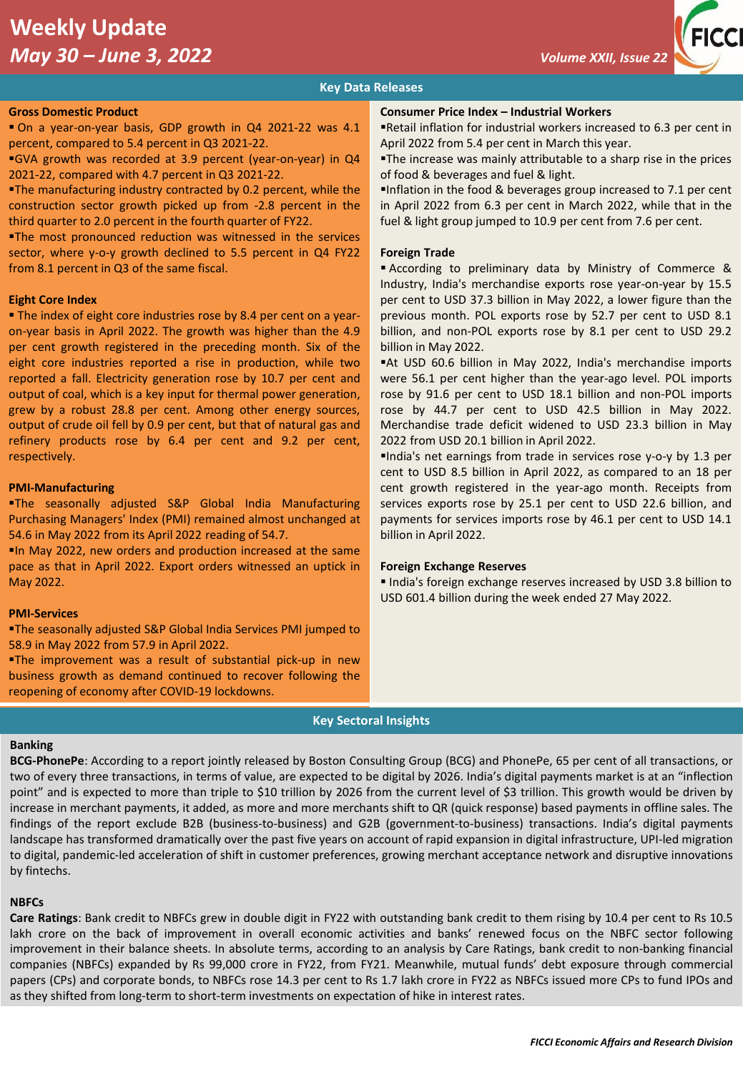# **Weekly Update**  *May 30 – June 3, 2022 Volume XXII, Issue 22*



# **Key Data Releases**

### **Gross Domestic Product**

▪ On a year-on-year basis, GDP growth in Q4 2021-22 was 4.1 percent, compared to 5.4 percent in Q3 2021-22.

▪GVA growth was recorded at 3.9 percent (year-on-year) in Q4 2021-22, compared with 4.7 percent in Q3 2021-22.

**The manufacturing industry contracted by 0.2 percent, while the** construction sector growth picked up from -2.8 percent in the third quarter to 2.0 percent in the fourth quarter of FY22.

**The most pronounced reduction was witnessed in the services** sector, where y-o-y growth declined to 5.5 percent in Q4 FY22 from 8.1 percent in Q3 of the same fiscal.

### **Eight Core Index**

**The index of eight core industries rose by 8.4 per cent on a year**on-year basis in April 2022. The growth was higher than the 4.9 per cent growth registered in the preceding month. Six of the eight core industries reported a rise in production, while two reported a fall. Electricity generation rose by 10.7 per cent and output of coal, which is a key input for thermal power generation, grew by a robust 28.8 per cent. Among other energy sources, output of crude oil fell by 0.9 per cent, but that of natural gas and refinery products rose by 6.4 per cent and 9.2 per cent, respectively.

### **PMI-Manufacturing**

▪The seasonally adjusted S&P Global India Manufacturing Purchasing Managers' Index (PMI) remained almost unchanged at 54.6 in May 2022 from its April 2022 reading of 54.7.

▪In May 2022, new orders and production increased at the same pace as that in April 2022. Export orders witnessed an uptick in May 2022.

### **PMI-Services**

**The seasonally adjusted S&P Global India Services PMI jumped to** 58.9 in May 2022 from 57.9 in April 2022.

**The improvement was a result of substantial pick-up in new** business growth as demand continued to recover following the reopening of economy after COVID-19 lockdowns.

### **Consumer Price Index – Industrial Workers**

▪Retail inflation for industrial workers increased to 6.3 per cent in April 2022 from 5.4 per cent in March this year.

**The increase was mainly attributable to a sharp rise in the prices** of food & beverages and fuel & light.

▪Inflation in the food & beverages group increased to 7.1 per cent in April 2022 from 6.3 per cent in March 2022, while that in the fuel & light group jumped to 10.9 per cent from 7.6 per cent.

### **Foreign Trade**

▪ According to preliminary data by Ministry of Commerce & Industry, India's merchandise exports rose year-on-year by 15.5 per cent to USD 37.3 billion in May 2022, a lower figure than the previous month. POL exports rose by 52.7 per cent to USD 8.1 billion, and non-POL exports rose by 8.1 per cent to USD 29.2 billion in May 2022.

■At USD 60.6 billion in May 2022, India's merchandise imports were 56.1 per cent higher than the year-ago level. POL imports rose by 91.6 per cent to USD 18.1 billion and non-POL imports rose by 44.7 per cent to USD 42.5 billion in May 2022. Merchandise trade deficit widened to USD 23.3 billion in May 2022 from USD 20.1 billion in April 2022.

▪India's net earnings from trade in services rose y-o-y by 1.3 per cent to USD 8.5 billion in April 2022, as compared to an 18 per cent growth registered in the year-ago month. Receipts from services exports rose by 25.1 per cent to USD 22.6 billion, and payments for services imports rose by 46.1 per cent to USD 14.1 billion in April 2022.

## **Foreign Exchange Reserves**

▪ India's foreign exchange reserves increased by USD 3.8 billion to USD 601.4 billion during the week ended 27 May 2022.

### **Key Sectoral Insights**

### **Banking**

**BCG-PhonePe**: According to a report jointly released by Boston Consulting Group (BCG) and PhonePe, 65 per cent of all transactions, or two of every three transactions, in terms of value, are expected to be digital by 2026. India's digital payments market is at an "inflection point" and is expected to more than triple to \$10 trillion by 2026 from the current level of \$3 trillion. This growth would be driven by increase in merchant payments, it added, as more and more merchants shift to QR (quick response) based payments in offline sales. The findings of the report exclude B2B (business-to-business) and G2B (government-to-business) transactions. India's digital payments landscape has transformed dramatically over the past five years on account of rapid expansion in digital infrastructure, UPI-led migration to digital, pandemic-led acceleration of shift in customer preferences, growing merchant acceptance network and disruptive innovations by fintechs.

### **NBFCs**

**Care Ratings**: Bank credit to NBFCs grew in double digit in FY22 with outstanding bank credit to them rising by 10.4 per cent to Rs 10.5 lakh crore on the back of improvement in overall economic activities and banks' renewed focus on the NBFC sector following improvement in their balance sheets. In absolute terms, according to an analysis by Care Ratings, bank credit to non-banking financial companies (NBFCs) expanded by Rs 99,000 crore in FY22, from FY21. Meanwhile, mutual funds' debt exposure through commercial papers (CPs) and corporate bonds, to NBFCs rose 14.3 per cent to Rs 1.7 lakh crore in FY22 as NBFCs issued more CPs to fund IPOs and as they shifted from long-term to short-term investments on expectation of hike in interest rates.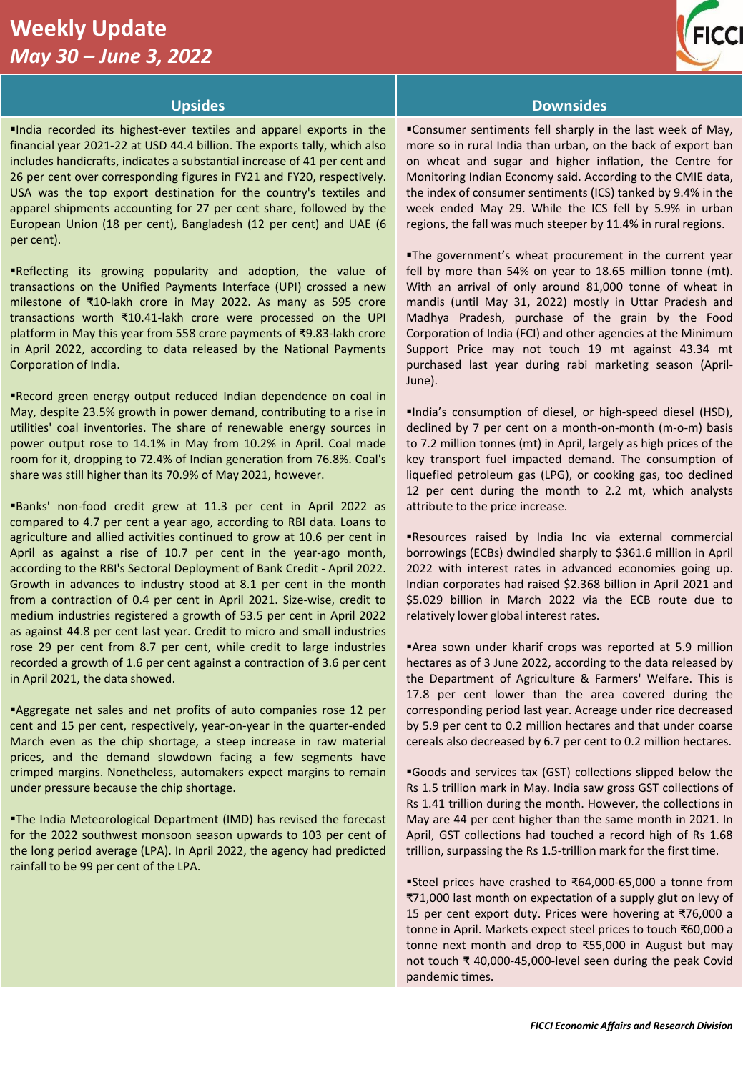# **Weekly Update**  *May 30 – June 3, 2022*



▪India recorded its highest-ever textiles and apparel exports in the financial year 2021-22 at USD 44.4 billion. The exports tally, which also includes handicrafts, indicates a substantial increase of 41 per cent and 26 per cent over corresponding figures in FY21 and FY20, respectively. USA was the top export destination for the country's textiles and apparel shipments accounting for 27 per cent share, followed by the European Union (18 per cent), Bangladesh (12 per cent) and UAE (6 per cent).

▪Reflecting its growing popularity and adoption, the value of transactions on the Unified Payments Interface (UPI) crossed a new milestone of ₹10-lakh crore in May 2022. As many as 595 crore transactions worth ₹10.41-lakh crore were processed on the UPI platform in May this year from 558 crore payments of ₹9.83-lakh crore in April 2022, according to data released by the National Payments Corporation of India.

Record green energy output reduced Indian dependence on coal in May, despite 23.5% growth in power demand, contributing to a rise in utilities' coal inventories. The share of renewable energy sources in power output rose to 14.1% in May from 10.2% in April. Coal made room for it, dropping to 72.4% of Indian generation from 76.8%. Coal's share was still higher than its 70.9% of May 2021, however.

▪Banks' non-food credit grew at 11.3 per cent in April 2022 as compared to 4.7 per cent a year ago, according to RBI data. Loans to agriculture and allied activities continued to grow at 10.6 per cent in April as against a rise of 10.7 per cent in the year-ago month, according to the RBI's Sectoral Deployment of Bank Credit - April 2022. Growth in advances to industry stood at 8.1 per cent in the month from a contraction of 0.4 per cent in April 2021. Size-wise, credit to medium industries registered a growth of 53.5 per cent in April 2022 as against 44.8 per cent last year. Credit to micro and small industries rose 29 per cent from 8.7 per cent, while credit to large industries recorded a growth of 1.6 per cent against a contraction of 3.6 per cent in April 2021, the data showed.

▪Aggregate net sales and net profits of auto companies rose 12 per cent and 15 per cent, respectively, year-on-year in the quarter-ended March even as the chip shortage, a steep increase in raw material prices, and the demand slowdown facing a few segments have crimped margins. Nonetheless, automakers expect margins to remain under pressure because the chip shortage.

**The India Meteorological Department (IMD) has revised the forecast** for the 2022 southwest monsoon season upwards to 103 per cent of the long period average (LPA). In April 2022, the agency had predicted rainfall to be 99 per cent of the LPA.

# **Upsides Downsides**

▪Consumer sentiments fell sharply in the last week of May, more so in rural India than urban, on the back of export ban on wheat and sugar and higher inflation, the Centre for Monitoring Indian Economy said. According to the CMIE data, the index of consumer sentiments (ICS) tanked by 9.4% in the week ended May 29. While the ICS fell by 5.9% in urban regions, the fall was much steeper by 11.4% in rural regions.

.The government's wheat procurement in the current year fell by more than 54% on year to 18.65 million tonne (mt). With an arrival of only around 81,000 tonne of wheat in mandis (until May 31, 2022) mostly in Uttar Pradesh and Madhya Pradesh, purchase of the grain by the Food Corporation of India (FCI) and other agencies at the Minimum Support Price may not touch 19 mt against 43.34 mt purchased last year during rabi marketing season (April-June).

▪India's consumption of diesel, or high-speed diesel (HSD), declined by 7 per cent on a month-on-month (m-o-m) basis to 7.2 million tonnes (mt) in April, largely as high prices of the key transport fuel impacted demand. The consumption of liquefied petroleum gas (LPG), or cooking gas, too declined 12 per cent during the month to 2.2 mt, which analysts attribute to the price increase.

▪Resources raised by India Inc via external commercial borrowings (ECBs) dwindled sharply to \$361.6 million in April 2022 with interest rates in advanced economies going up. Indian corporates had raised \$2.368 billion in April 2021 and \$5.029 billion in March 2022 via the ECB route due to relatively lower global interest rates.

▪Area sown under kharif crops was reported at 5.9 million hectares as of 3 June 2022, according to the data released by the Department of Agriculture & Farmers' Welfare. This is 17.8 per cent lower than the area covered during the corresponding period last year. Acreage under rice decreased by 5.9 per cent to 0.2 million hectares and that under coarse cereals also decreased by 6.7 per cent to 0.2 million hectares.

▪Goods and services tax (GST) collections slipped below the Rs 1.5 trillion mark in May. India saw gross GST collections of Rs 1.41 trillion during the month. However, the collections in May are 44 per cent higher than the same month in 2021. In April, GST collections had touched a record high of Rs 1.68 trillion, surpassing the Rs 1.5-trillion mark for the first time.

▪Steel prices have crashed to ₹64,000-65,000 a tonne from ₹71,000 last month on expectation of a supply glut on levy of 15 per cent export duty. Prices were hovering at ₹76,000 a tonne in April. Markets expect steel prices to touch ₹60,000 a tonne next month and drop to ₹55,000 in August but may not touch ₹ 40,000-45,000-level seen during the peak Covid pandemic times.